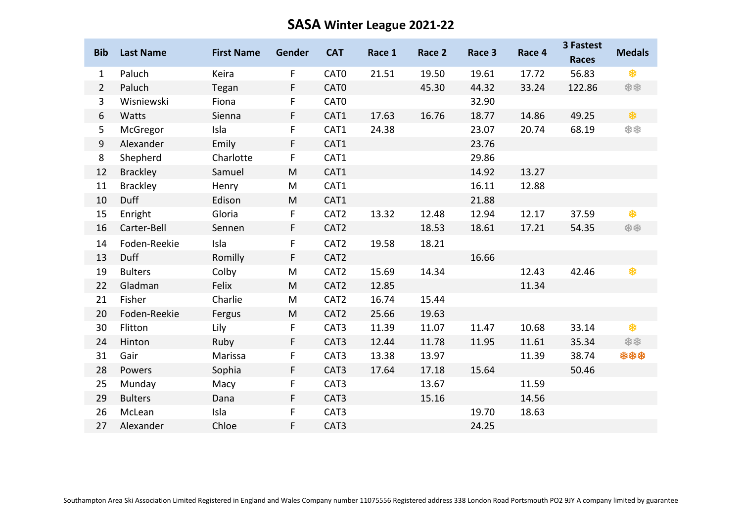## **SASA Winter League 2021-22**

| <b>Bib</b>     | <b>Last Name</b> | <b>First Name</b> | Gender       | <b>CAT</b>       | Race 1 | Race 2 | Race 3 | Race 4 | <b>3 Fastest</b><br><b>Races</b> | <b>Medals</b> |
|----------------|------------------|-------------------|--------------|------------------|--------|--------|--------|--------|----------------------------------|---------------|
| $\mathbf{1}$   | Paluch           | Keira             | $\mathsf{F}$ | CAT <sub>0</sub> | 21.51  | 19.50  | 19.61  | 17.72  | 56.83                            | *             |
| $\overline{2}$ | Paluch           | Tegan             | F            | CAT <sub>0</sub> |        | 45.30  | 44.32  | 33.24  | 122.86                           | **            |
| $\mathbf{3}$   | Wisniewski       | Fiona             | F            | CAT <sub>0</sub> |        |        | 32.90  |        |                                  |               |
| 6              | Watts            | Sienna            | F            | CAT1             | 17.63  | 16.76  | 18.77  | 14.86  | 49.25                            | \$            |
| 5              | McGregor         | Isla              | F            | CAT1             | 24.38  |        | 23.07  | 20.74  | 68.19                            | **            |
| $9\,$          | Alexander        | Emily             | $\mathsf{F}$ | CAT1             |        |        | 23.76  |        |                                  |               |
| 8              | Shepherd         | Charlotte         | F            | CAT1             |        |        | 29.86  |        |                                  |               |
| 12             | <b>Brackley</b>  | Samuel            | M            | CAT1             |        |        | 14.92  | 13.27  |                                  |               |
| 11             | <b>Brackley</b>  | Henry             | M            | CAT1             |        |        | 16.11  | 12.88  |                                  |               |
| 10             | Duff             | Edison            | M            | CAT1             |        |        | 21.88  |        |                                  |               |
| 15             | Enright          | Gloria            | $\mathsf{F}$ | CAT <sub>2</sub> | 13.32  | 12.48  | 12.94  | 12.17  | 37.59                            | 卷             |
| 16             | Carter-Bell      | Sennen            | F            | CAT <sub>2</sub> |        | 18.53  | 18.61  | 17.21  | 54.35                            | **            |
| 14             | Foden-Reekie     | Isla              | F            | CAT <sub>2</sub> | 19.58  | 18.21  |        |        |                                  |               |
| 13             | Duff             | Romilly           | $\mathsf{F}$ | CAT2             |        |        | 16.66  |        |                                  |               |
| 19             | <b>Bulters</b>   | Colby             | M            | CAT <sub>2</sub> | 15.69  | 14.34  |        | 12.43  | 42.46                            | \$            |
| 22             | Gladman          | Felix             | M            | CAT <sub>2</sub> | 12.85  |        |        | 11.34  |                                  |               |
| 21             | Fisher           | Charlie           | M            | CAT <sub>2</sub> | 16.74  | 15.44  |        |        |                                  |               |
| 20             | Foden-Reekie     | Fergus            | M            | CAT <sub>2</sub> | 25.66  | 19.63  |        |        |                                  |               |
| 30             | Flitton          | Lily              | $\mathsf F$  | CAT3             | 11.39  | 11.07  | 11.47  | 10.68  | 33.14                            | \$            |
| 24             | Hinton           | Ruby              | $\mathsf{F}$ | CAT <sub>3</sub> | 12.44  | 11.78  | 11.95  | 11.61  | 35.34                            | **            |
| 31             | Gair             | Marissa           | F            | CAT <sub>3</sub> | 13.38  | 13.97  |        | 11.39  | 38.74                            | ***           |
| 28             | Powers           | Sophia            | F            | CAT <sub>3</sub> | 17.64  | 17.18  | 15.64  |        | 50.46                            |               |
| 25             | Munday           | Macy              | F            | CAT3             |        | 13.67  |        | 11.59  |                                  |               |
| 29             | <b>Bulters</b>   | Dana              | F            | CAT <sub>3</sub> |        | 15.16  |        | 14.56  |                                  |               |
| 26             | McLean           | Isla              | F            | CAT3             |        |        | 19.70  | 18.63  |                                  |               |
| 27             | Alexander        | Chloe             | F            | CAT <sub>3</sub> |        |        | 24.25  |        |                                  |               |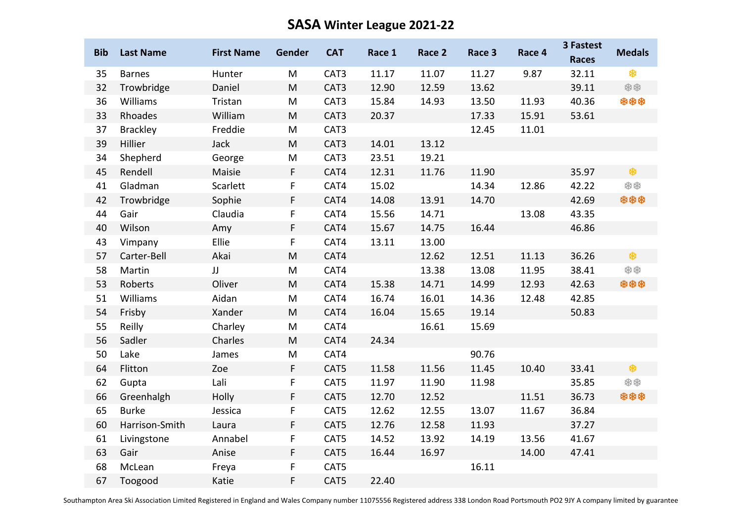## **SASA Winter League 2021-22**

| <b>Bib</b> | <b>Last Name</b> | <b>First Name</b> | Gender                                                                                                     | <b>CAT</b> | Race 1 | Race 2 | Race 3 | Race 4 | 3 Fastest<br><b>Races</b> | <b>Medals</b> |
|------------|------------------|-------------------|------------------------------------------------------------------------------------------------------------|------------|--------|--------|--------|--------|---------------------------|---------------|
| 35         | <b>Barnes</b>    | Hunter            | M                                                                                                          | CAT3       | 11.17  | 11.07  | 11.27  | 9.87   | 32.11                     | \$            |
| 32         | Trowbridge       | Daniel            | M                                                                                                          | CAT3       | 12.90  | 12.59  | 13.62  |        | 39.11                     | **            |
| 36         | Williams         | Tristan           | M                                                                                                          | CAT3       | 15.84  | 14.93  | 13.50  | 11.93  | 40.36                     | ***           |
| 33         | Rhoades          | William           | M                                                                                                          | CAT3       | 20.37  |        | 17.33  | 15.91  | 53.61                     |               |
| 37         | <b>Brackley</b>  | Freddie           | M                                                                                                          | CAT3       |        |        | 12.45  | 11.01  |                           |               |
| 39         | Hillier          | Jack              | M                                                                                                          | CAT3       | 14.01  | 13.12  |        |        |                           |               |
| 34         | Shepherd         | George            | M                                                                                                          | CAT3       | 23.51  | 19.21  |        |        |                           |               |
| 45         | Rendell          | Maisie            | $\mathsf F$                                                                                                | CAT4       | 12.31  | 11.76  | 11.90  |        | 35.97                     | 參             |
| 41         | Gladman          | Scarlett          | F                                                                                                          | CAT4       | 15.02  |        | 14.34  | 12.86  | 42.22                     | **            |
| 42         | Trowbridge       | Sophie            | $\mathsf F$                                                                                                | CAT4       | 14.08  | 13.91  | 14.70  |        | 42.69                     | ***           |
| 44         | Gair             | Claudia           | F                                                                                                          | CAT4       | 15.56  | 14.71  |        | 13.08  | 43.35                     |               |
| 40         | Wilson           | Amy               | $\mathsf{F}$                                                                                               | CAT4       | 15.67  | 14.75  | 16.44  |        | 46.86                     |               |
| 43         | Vimpany          | Ellie             | $\mathsf F$                                                                                                | CAT4       | 13.11  | 13.00  |        |        |                           |               |
| 57         | Carter-Bell      | Akai              | $\mathsf{M}% _{T}=\mathsf{M}_{T}\!\left( a,b\right) ,\ \mathsf{M}_{T}=\mathsf{M}_{T}\!\left( a,b\right) ,$ | CAT4       |        | 12.62  | 12.51  | 11.13  | 36.26                     | \$            |
| 58         | Martin           | JJ                | M                                                                                                          | CAT4       |        | 13.38  | 13.08  | 11.95  | 38.41                     | **            |
| 53         | Roberts          | Oliver            | M                                                                                                          | CAT4       | 15.38  | 14.71  | 14.99  | 12.93  | 42.63                     | ***           |
| 51         | Williams         | Aidan             | M                                                                                                          | CAT4       | 16.74  | 16.01  | 14.36  | 12.48  | 42.85                     |               |
| 54         | Frisby           | Xander            | M                                                                                                          | CAT4       | 16.04  | 15.65  | 19.14  |        | 50.83                     |               |
| 55         | Reilly           | Charley           | M                                                                                                          | CAT4       |        | 16.61  | 15.69  |        |                           |               |
| 56         | Sadler           | Charles           | ${\sf M}$                                                                                                  | CAT4       | 24.34  |        |        |        |                           |               |
| 50         | Lake             | James             | M                                                                                                          | CAT4       |        |        | 90.76  |        |                           |               |
| 64         | Flitton          | Zoe               | $\mathsf{F}$                                                                                               | CAT5       | 11.58  | 11.56  | 11.45  | 10.40  | 33.41                     | \$            |
| 62         | Gupta            | Lali              | F                                                                                                          | CAT5       | 11.97  | 11.90  | 11.98  |        | 35.85                     | **            |
| 66         | Greenhalgh       | Holly             | $\mathsf F$                                                                                                | CAT5       | 12.70  | 12.52  |        | 11.51  | 36.73                     | ***           |
| 65         | <b>Burke</b>     | Jessica           | F                                                                                                          | CAT5       | 12.62  | 12.55  | 13.07  | 11.67  | 36.84                     |               |
| 60         | Harrison-Smith   | Laura             | $\mathsf F$                                                                                                | CAT5       | 12.76  | 12.58  | 11.93  |        | 37.27                     |               |
| 61         | Livingstone      | Annabel           | $\mathsf F$                                                                                                | CAT5       | 14.52  | 13.92  | 14.19  | 13.56  | 41.67                     |               |
| 63         | Gair             | Anise             | F                                                                                                          | CAT5       | 16.44  | 16.97  |        | 14.00  | 47.41                     |               |
| 68         | McLean           | Freya             | F                                                                                                          | CAT5       |        |        | 16.11  |        |                           |               |
| 67         | Toogood          | Katie             | F                                                                                                          | CAT5       | 22.40  |        |        |        |                           |               |

Southampton Area Ski Association Limited Registered in England and Wales Company number 11075556 Registered address 338 London Road Portsmouth PO2 9JY A company limited by guarantee